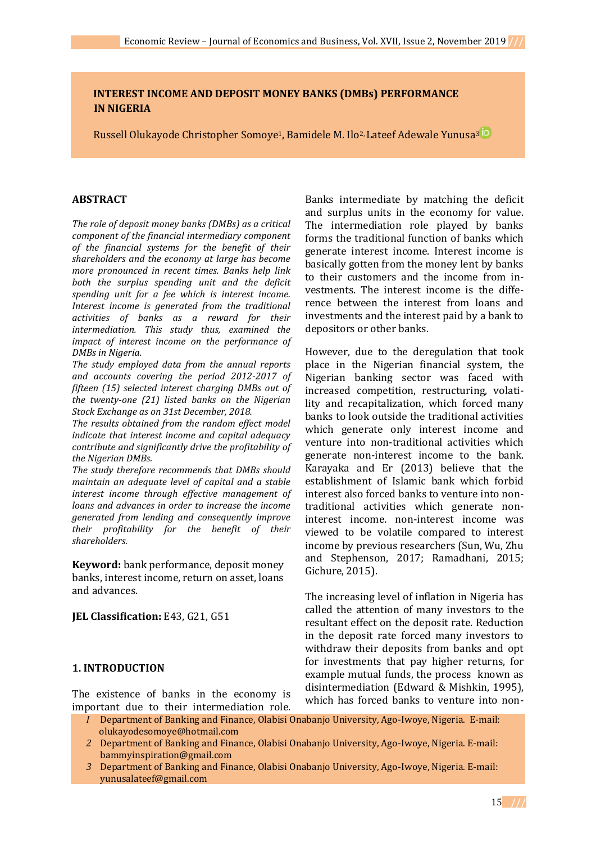# **INTEREST INCOME AND DEPOSIT MONEY BANKS (DMBs) PERFORMANCE IN NIGERIA**

Russell Olukayode Christopher Somoye<sup>1</sup>, Bamidele M. Ilo<sup>2,</sup> Lateef Adewale Yunusa<sup>[3](https://orcid.org/0000-0001-7958-8844)</sup> iD

## **ABSTRACT**

*The role of deposit money banks (DMBs) as a critical component of the financial intermediary component of the financial systems for the benefit of their shareholders and the economy at large has become more pronounced in recent times. Banks help link both the surplus spending unit and the deficit spending unit for a fee which is interest income. Interest income is generated from the traditional activities of banks as a reward for their intermediation. This study thus, examined the impact of interest income on the performance of DMBs in Nigeria.* 

*The study employed data from the annual reports and accounts covering the period 2012-2017 of fifteen (15) selected interest charging DMBs out of the twenty-one (21) listed banks on the Nigerian Stock Exchange as on 31st December, 2018.*

*The results obtained from the random effect model indicate that interest income and capital adequacy contribute and significantly drive the profitability of the Nigerian DMBs.* 

*The study therefore recommends that DMBs should maintain an adequate level of capital and a stable interest income through effective management of loans and advances in order to increase the income generated from lending and consequently improve their profitability for the benefit of their shareholders.*

**Keyword:** bank performance, deposit money banks, interest income, return on asset, loans and advances.

## **JEL Classification:** E43, G21, G51

## **1. INTRODUCTION**

The existence of banks in the economy is important due to their intermediation role.

Banks intermediate by matching the deficit and surplus units in the economy for value. The intermediation role played by banks forms the traditional function of banks which generate interest income. Interest income is basically gotten from the money lent by banks to their customers and the income from investments. The interest income is the difference between the interest from loans and investments and the interest paid by a bank to depositors or other banks.

However, due to the deregulation that took place in the Nigerian financial system, the Nigerian banking sector was faced with increased competition, restructuring, volatility and recapitalization, which forced many banks to look outside the traditional activities which generate only interest income and venture into non-traditional activities which generate non-interest income to the bank. Karayaka and Er (2013) believe that the establishment of Islamic bank which forbid interest also forced banks to venture into nontraditional activities which generate noninterest income. non-interest income was viewed to be volatile compared to interest income by previous researchers (Sun, Wu, Zhu and Stephenson, 2017; Ramadhani, 2015; Gichure, 2015).

The increasing level of inflation in Nigeria has called the attention of many investors to the resultant effect on the deposit rate. Reduction in the deposit rate forced many investors to withdraw their deposits from banks and opt for investments that pay higher returns, for example mutual funds, the process known as disintermediation (Edward & Mishkin, 1995), which has forced banks to venture into non-

- *I* Department of Banking and Finance, Olabisi Onabanjo University, Ago-Iwoye, Nigeria. E-mail: [olukayodesomoye@hotmail.com](mailto:olukayodesomoye@hotmail.com)
- *2* Department of Banking and Finance, Olabisi Onabanjo University, Ago-Iwoye, Nigeria. E-mail: [bammyinspiration@gmail.com](mailto:bammyinspiration@gmail.com)
- *3* Department of Banking and Finance, Olabisi Onabanjo University, Ago-Iwoye, Nigeria. E-mail: [yunusalateef@gmail.com](mailto:yunusalateef@gmail.com)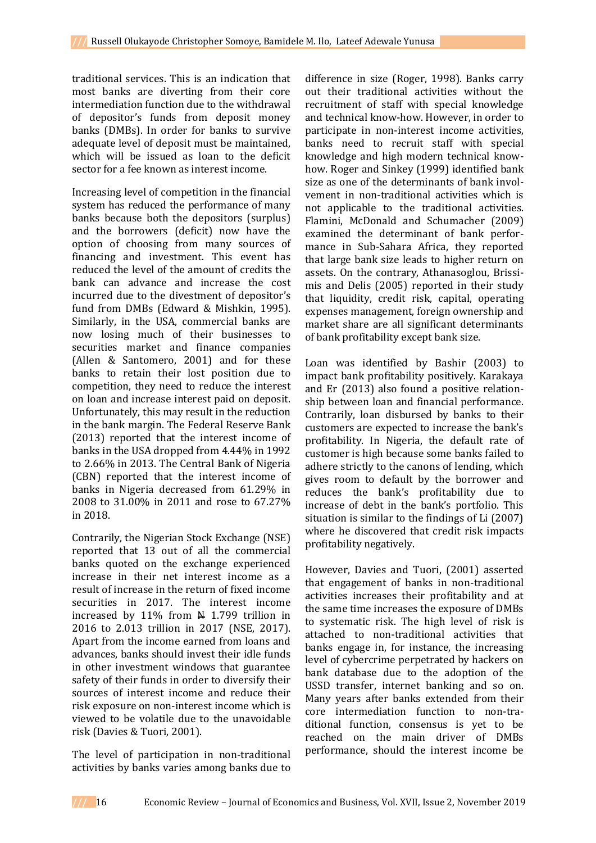traditional services. This is an indication that most banks are diverting from their core intermediation function due to the withdrawal of depositor's funds from deposit money banks (DMBs). In order for banks to survive adequate level of deposit must be maintained, which will be issued as loan to the deficit sector for a fee known as interest income.

Increasing level of competition in the financial system has reduced the performance of many banks because both the depositors (surplus) and the borrowers (deficit) now have the option of choosing from many sources of financing and investment. This event has reduced the level of the amount of credits the bank can advance and increase the cost incurred due to the divestment of depositor's fund from DMBs (Edward & Mishkin, 1995). Similarly, in the USA, commercial banks are now losing much of their businesses to securities market and finance companies (Allen & Santomero, 2001) and for these banks to retain their lost position due to competition, they need to reduce the interest on loan and increase interest paid on deposit. Unfortunately, this may result in the reduction in the bank margin. The Federal Reserve Bank (2013) reported that the interest income of banks in the USA dropped from 4.44% in 1992 to 2.66% in 2013. The Central Bank of Nigeria (CBN) reported that the interest income of banks in Nigeria decreased from 61.29% in 2008 to 31.00% in 2011 and rose to 67.27% in 2018.

Contrarily, the Nigerian Stock Exchange (NSE) reported that 13 out of all the commercial banks quoted on the exchange experienced increase in their net interest income as a result of increase in the return of fixed income securities in 2017. The interest income increased by  $11\%$  from  $\#$  1.799 trillion in 2016 to 2.013 trillion in 2017 (NSE, 2017). Apart from the income earned from loans and advances, banks should invest their idle funds in other investment windows that guarantee safety of their funds in order to diversify their sources of interest income and reduce their risk exposure on non-interest income which is viewed to be volatile due to the unavoidable risk (Davies & Tuori, 2001).

The level of participation in non-traditional activities by banks varies among banks due to

difference in size (Roger, 1998). Banks carry out their traditional activities without the recruitment of staff with special knowledge and technical know-how. However, in order to participate in non-interest income activities, banks need to recruit staff with special knowledge and high modern technical knowhow. Roger and Sinkey (1999) identified bank size as one of the determinants of bank involvement in non-traditional activities which is not applicable to the traditional activities. Flamini, McDonald and Schumacher (2009) examined the determinant of bank performance in Sub-Sahara Africa, they reported that large bank size leads to higher return on assets. On the contrary, Athanasoglou, Brissimis and Delis (2005) reported in their study that liquidity, credit risk, capital, operating expenses management, foreign ownership and market share are all significant determinants of bank profitability except bank size.

Loan was identified by Bashir (2003) to impact bank profitability positively. Karakaya and Er (2013) also found a positive relationship between loan and financial performance. Contrarily, loan disbursed by banks to their customers are expected to increase the bank's profitability. In Nigeria, the default rate of customer is high because some banks failed to adhere strictly to the canons of lending, which gives room to default by the borrower and reduces the bank's profitability due to increase of debt in the bank's portfolio. This situation is similar to the findings of Li (2007) where he discovered that credit risk impacts profitability negatively.

However, Davies and Tuori, (2001) asserted that engagement of banks in non-traditional activities increases their profitability and at the same time increases the exposure of DMBs to systematic risk. The high level of risk is attached to non-traditional activities that banks engage in, for instance, the increasing level of cybercrime perpetrated by hackers on bank database due to the adoption of the USSD transfer, internet banking and so on. Many years after banks extended from their core intermediation function to non-traditional function, consensus is yet to be reached on the main driver of DMBs performance, should the interest income be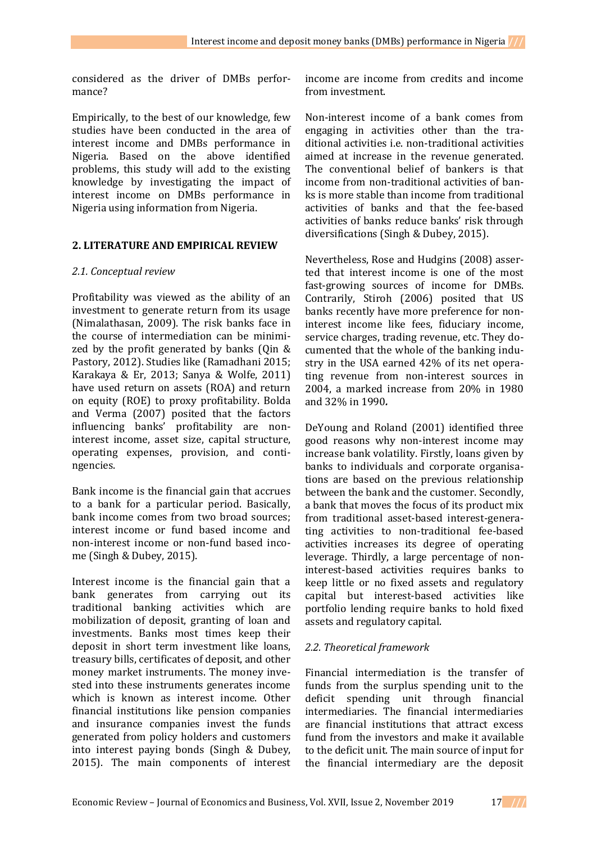considered as the driver of DMBs performance?

Empirically, to the best of our knowledge, few studies have been conducted in the area of interest income and DMBs performance in Nigeria. Based on the above identified problems, this study will add to the existing knowledge by investigating the impact of interest income on DMBs performance in Nigeria using information from Nigeria.

## **2. LITERATURE AND EMPIRICAL REVIEW**

#### *2.1. Conceptual review*

Profitability was viewed as the ability of an investment to generate return from its usage (Nimalathasan, 2009). The risk banks face in the course of intermediation can be minimized by the profit generated by banks (Qin & Pastory, 2012). Studies like (Ramadhani 2015; Karakaya & Er, 2013; Sanya & Wolfe, 2011) have used return on assets (ROA) and return on equity (ROE) to proxy profitability. Bolda and Verma (2007) posited that the factors influencing banks' profitability are noninterest income, asset size, capital structure, operating expenses, provision, and contingencies.

Bank income is the financial gain that accrues to a bank for a particular period. Basically, bank income comes from two broad sources; interest income or fund based income and non-interest income or non-fund based income (Singh & Dubey, 2015).

Interest income is the financial gain that a bank generates from carrying out its traditional banking activities which are mobilization of deposit, granting of loan and investments. Banks most times keep their deposit in short term investment like loans, treasury bills, certificates of deposit, and other money market instruments. The money invested into these instruments generates income which is known as interest income. Other financial institutions like pension companies and insurance companies invest the funds generated from policy holders and customers into interest paying bonds (Singh & Dubey, 2015). The main components of interest

income are income from credits and income from investment.

Non-interest income of a bank comes from engaging in activities other than the traditional activities i.e. non-traditional activities aimed at increase in the revenue generated. The conventional belief of bankers is that income from non-traditional activities of banks is more stable than income from traditional activities of banks and that the fee-based activities of banks reduce banks' risk through diversifications (Singh & Dubey, 2015).

Nevertheless, Rose and Hudgins (2008) asserted that interest income is one of the most fast-growing sources of income for DMBs. Contrarily, Stiroh (2006) posited that US banks recently have more preference for noninterest income like fees, fiduciary income, service charges, trading revenue, etc. They documented that the whole of the banking industry in the USA earned 42% of its net operating revenue from non-interest sources in 2004, a marked increase from 20% in 1980 and 32% in 1990*.*

DeYoung and Roland (2001) identified three good reasons why non-interest income may increase bank volatility. Firstly, loans given by banks to individuals and corporate organisations are based on the previous relationship between the bank and the customer. Secondly, a bank that moves the focus of its product mix from traditional asset-based interest-generating activities to non-traditional fee-based activities increases its degree of operating leverage. Thirdly, a large percentage of noninterest-based activities requires banks to keep little or no fixed assets and regulatory capital but interest-based activities like portfolio lending require banks to hold fixed assets and regulatory capital.

## *2.2. Theoretical framework*

Financial intermediation is the transfer of funds from the surplus spending unit to the deficit spending unit through financial intermediaries. The financial intermediaries are financial institutions that attract excess fund from the investors and make it available to the deficit unit. The main source of input for the financial intermediary are the deposit

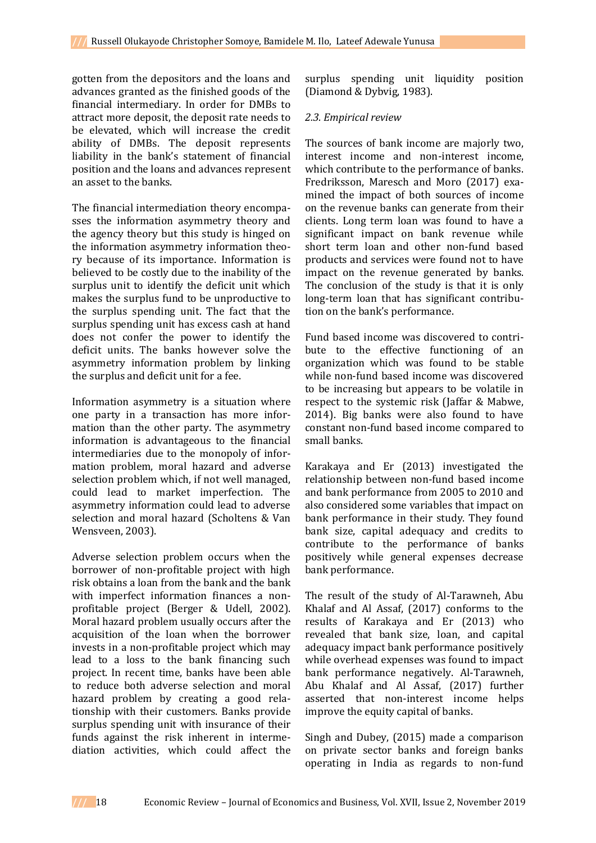gotten from the depositors and the loans and advances granted as the finished goods of the financial intermediary. In order for DMBs to attract more deposit, the deposit rate needs to be elevated, which will increase the credit ability of DMBs. The deposit represents liability in the bank's statement of financial position and the loans and advances represent an asset to the banks.

The financial intermediation theory encompasses the information asymmetry theory and the agency theory but this study is hinged on the information asymmetry information theory because of its importance. Information is believed to be costly due to the inability of the surplus unit to identify the deficit unit which makes the surplus fund to be unproductive to the surplus spending unit. The fact that the surplus spending unit has excess cash at hand does not confer the power to identify the deficit units. The banks however solve the asymmetry information problem by linking the surplus and deficit unit for a fee.

Information asymmetry is a situation where one party in a transaction has more information than the other party. The asymmetry information is advantageous to the financial intermediaries due to the monopoly of information problem, moral hazard and adverse selection problem which, if not well managed, could lead to market imperfection. The asymmetry information could lead to adverse selection and moral hazard (Scholtens & Van Wensveen, 2003).

Adverse selection problem occurs when the borrower of non-profitable project with high risk obtains a loan from the bank and the bank with imperfect information finances a nonprofitable project (Berger & Udell, 2002). Moral hazard problem usually occurs after the acquisition of the loan when the borrower invests in a non-profitable project which may lead to a loss to the bank financing such project. In recent time, banks have been able to reduce both adverse selection and moral hazard problem by creating a good relationship with their customers. Banks provide surplus spending unit with insurance of their funds against the risk inherent in intermediation activities, which could affect the

surplus spending unit liquidity position (Diamond & Dybvig, 1983).

#### *2.3. Empirical review*

The sources of bank income are majorly two, interest income and non-interest income, which contribute to the performance of banks. Fredriksson, Maresch and Moro (2017) examined the impact of both sources of income on the revenue banks can generate from their clients. Long term loan was found to have a significant impact on bank revenue while short term loan and other non-fund based products and services were found not to have impact on the revenue generated by banks. The conclusion of the study is that it is only long-term loan that has significant contribution on the bank's performance.

Fund based income was discovered to contribute to the effective functioning of an organization which was found to be stable while non-fund based income was discovered to be increasing but appears to be volatile in respect to the systemic risk (Jaffar & Mabwe, 2014). Big banks were also found to have constant non-fund based income compared to small banks.

Karakaya and Er (2013) investigated the relationship between non-fund based income and bank performance from 2005 to 2010 and also considered some variables that impact on bank performance in their study. They found bank size, capital adequacy and credits to contribute to the performance of banks positively while general expenses decrease bank performance.

The result of the study of Al-Tarawneh, Abu Khalaf and Al Assaf, (2017) conforms to the results of Karakaya and Er (2013) who revealed that bank size, loan, and capital adequacy impact bank performance positively while overhead expenses was found to impact bank performance negatively. Al-Tarawneh, Abu Khalaf and Al Assaf, (2017) further asserted that non-interest income helps improve the equity capital of banks.

Singh and Dubey, (2015) made a comparison on private sector banks and foreign banks operating in India as regards to non-fund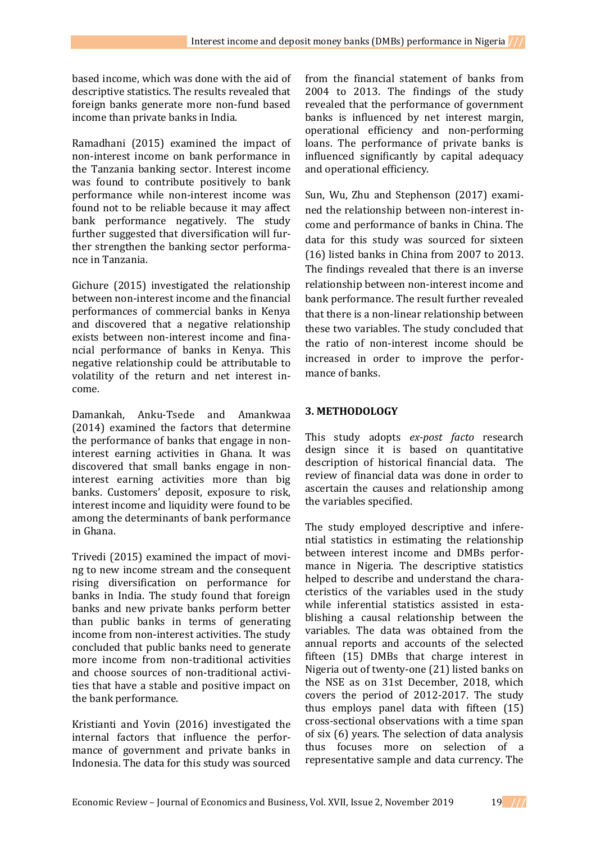based income, which was done with the aid of descriptive statistics. The results revealed that foreign banks generate more non-fund based income than private banks in India.

Ramadhani (2015) examined the impact of non-interest income on bank performance in the Tanzania banking sector. Interest income was found to contribute positively to bank performance while non-interest income was found not to be reliable because it may affect bank performance negatively. The study further suggested that diversification will further strengthen the banking sector performance in Tanzania.

Gichure (2015) investigated the relationship between non-interest income and the financial performances of commercial banks in Kenya and discovered that a negative relationship exists between non-interest income and financial performance of banks in Kenya. This negative relationship could be attributable to volatility of the return and net interest income.

Damankah, Anku-Tsede and Amankwaa (2014) examined the factors that determine the performance of banks that engage in noninterest earning activities in Ghana. It was discovered that small banks engage in noninterest earning activities more than big banks. Customers' deposit, exposure to risk, interest income and liquidity were found to be among the determinants of bank performance in Ghana.

Trivedi (2015) examined the impact of moving to new income stream and the consequent rising diversification on performance for banks in India. The study found that foreign banks and new private banks perform better than public banks in terms of generating income from non-interest activities. The study concluded that public banks need to generate more income from non-traditional activities and choose sources of non-traditional activities that have a stable and positive impact on the bank performance.

Kristianti and Yovin (2016) investigated the internal factors that influence the performance of government and private banks in Indonesia. The data for this study was sourced

from the financial statement of banks from 2004 to 2013. The findings of the study revealed that the performance of government banks is influenced by net interest margin, operational efficiency and non-performing loans. The performance of private banks is influenced significantly by capital adequacy and operational efficiency.

Sun, Wu, Zhu and Stephenson (2017) examined the relationship between non-interest income and performance of banks in China. The data for this study was sourced for sixteen (16) listed banks in China from 2007 to 2013. The findings revealed that there is an inverse relationship between non-interest income and bank performance. The result further revealed that there is a non-linear relationship between these two variables. The study concluded that the ratio of non-interest income should be increased in order to improve the performance of banks.

# **3. METHODOLOGY**

This study adopts *ex-post facto* research design since it is based on quantitative description of historical financial data. The review of financial data was done in order to ascertain the causes and relationship among the variables specified.

The study employed descriptive and inferential statistics in estimating the relationship between interest income and DMBs performance in Nigeria. The descriptive statistics helped to describe and understand the characteristics of the variables used in the study while inferential statistics assisted in establishing a causal relationship between the variables. The data was obtained from the annual reports and accounts of the selected fifteen (15) DMBs that charge interest in Nigeria out of twenty-one (21) listed banks on the NSE as on 31st December, 2018, which covers the period of 2012-2017. The study thus employs panel data with fifteen (15) cross-sectional observations with a time span of six (6) years. The selection of data analysis thus focuses more on selection of a representative sample and data currency. The

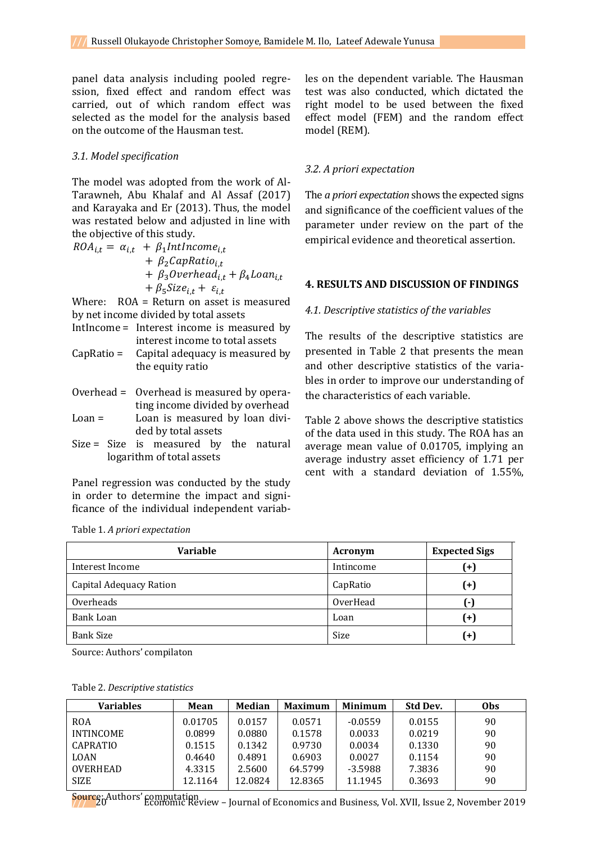panel data analysis including pooled regression, fixed effect and random effect was carried, out of which random effect was selected as the model for the analysis based on the outcome of the Hausman test.

#### *3.1. Model specification*

The model was adopted from the work of Al-Tarawneh, Abu Khalaf and Al Assaf (2017) and Karayaka and Er (2013). Thus, the model was restated below and adjusted in line with the objective of this study.

 $ROA_{i,t} = \alpha_{i,t} + \beta_1 IntIncome_{i,t}$  $+ \beta_2 CapRatio_{i} t$ +  $\beta_3$ Overhead<sub>i.t</sub> +  $\beta_4$ Loan<sub>it</sub> +  $\beta_5 Size_{i,t} + \varepsilon_{i,t}$ 

Where: ROA = Return on asset is measured by net income divided by total assets

- IntIncome = Interest income is measured by interest income to total assets
- CapRatio = Capital adequacy is measured by the equity ratio
- Overhead = Overhead is measured by operating income divided by overhead Loan = Loan is measured by loan divided by total assets
- Size = Size is measured by the natural logarithm of total assets

Panel regression was conducted by the study in order to determine the impact and significance of the individual independent variables on the dependent variable. The Hausman test was also conducted, which dictated the right model to be used between the fixed effect model (FEM) and the random effect model (REM).

## *3.2. A priori expectation*

The *a priori expectation* shows the expected signs and significance of the coefficient values of the parameter under review on the part of the empirical evidence and theoretical assertion.

# **4. RESULTS AND DISCUSSION OF FINDINGS**

#### *4.1. Descriptive statistics of the variables*

The results of the descriptive statistics are presented in Table 2 that presents the mean and other descriptive statistics of the variables in order to improve our understanding of the characteristics of each variable.

Table 2 above shows the descriptive statistics of the data used in this study. The ROA has an average mean value of 0.01705, implying an average industry asset efficiency of 1.71 per cent with a standard deviation of 1.55%,

**Expected Sigs** 

| <b>Variable</b>         | Acronym   | <b>Expected</b> |
|-------------------------|-----------|-----------------|
| Interest Income         | Intincome | ้+)             |
| Capital Adequacy Ration | CapRatio  | $^{(+)}$        |
| Overheads               | OverHead  | A-)             |

Source: Authors' compilaton

Table 1. *A priori expectation*

|  | Table 2. Descriptive statistics |  |
|--|---------------------------------|--|
|--|---------------------------------|--|

| <b>Variables</b> | Mean    | Median  | <b>Maximum</b> | <b>Minimum</b> | Std Dev. | <b>Obs</b> |
|------------------|---------|---------|----------------|----------------|----------|------------|
| <b>ROA</b>       | 0.01705 | 0.0157  | 0.0571         | $-0.0559$      | 0.0155   | 90         |
| <b>INTINCOME</b> | 0.0899  | 0.0880  | 0.1578         | 0.0033         | 0.0219   | 90         |
| <b>CAPRATIO</b>  | 0.1515  | 0.1342  | 0.9730         | 0.0034         | 0.1330   | 90         |
| <b>LOAN</b>      | 0.4640  | 0.4891  | 0.6903         | 0.0027         | 0.1154   | 90         |
| <b>OVERHEAD</b>  | 4.3315  | 2.5600  | 64.5799        | $-3.5988$      | 7.3836   | 90         |
| <b>SIZE</b>      | 12.1164 | 12.0824 | 12.8365        | 11.1945        | 0.3693   | 90         |

Bank Loan **(+)** Loan **(+)** Bank Size (+)

**Source:** Authors' computation<br>Tournal of Economic Review - Journal of Economics and Business, Vol. XVII, Issue 2, November 2019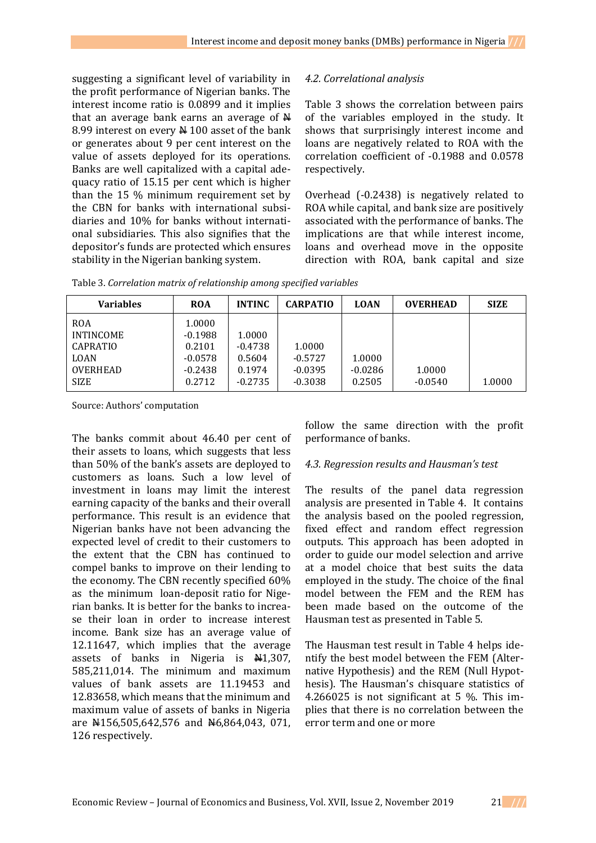suggesting a significant level of variability in the profit performance of Nigerian banks. The interest income ratio is 0.0899 and it implies that an average bank earns an average of  $\mathbb H$ 8.99 interest on every  $\frac{N}{N}$  100 asset of the bank or generates about 9 per cent interest on the value of assets deployed for its operations. Banks are well capitalized with a capital adequacy ratio of 15.15 per cent which is higher than the 15 % minimum requirement set by the CBN for banks with international subsidiaries and 10% for banks without international subsidiaries. This also signifies that the depositor's funds are protected which ensures stability in the Nigerian banking system.

# *4.2. Correlational analysis*

Table 3 shows the correlation between pairs of the variables employed in the study. It shows that surprisingly interest income and loans are negatively related to ROA with the correlation coefficient of -0.1988 and 0.0578 respectively.

Overhead (-0.2438) is negatively related to ROA while capital, and bank size are positively associated with the performance of banks. The implications are that while interest income, loans and overhead move in the opposite direction with ROA, bank capital and size

|  | Table 3. Correlation matrix of relationship among specified variables |  |
|--|-----------------------------------------------------------------------|--|
|--|-----------------------------------------------------------------------|--|

| <b>Variables</b>                                                                                   | <b>ROA</b>                                                        | <b>INTINC</b>                                        | <b>CARPATIO</b>                               | <b>LOAN</b>                   | <b>OVERHEAD</b>     | <b>SIZE</b> |
|----------------------------------------------------------------------------------------------------|-------------------------------------------------------------------|------------------------------------------------------|-----------------------------------------------|-------------------------------|---------------------|-------------|
| <b>ROA</b><br><b>INTINCOME</b><br><b>CAPRATIO</b><br><b>LOAN</b><br><b>OVERHEAD</b><br><b>SIZE</b> | 1.0000<br>$-0.1988$<br>0.2101<br>$-0.0578$<br>$-0.2438$<br>0.2712 | 1.0000<br>$-0.4738$<br>0.5604<br>0.1974<br>$-0.2735$ | 1.0000<br>$-0.5727$<br>$-0.0395$<br>$-0.3038$ | 1.0000<br>$-0.0286$<br>0.2505 | 1.0000<br>$-0.0540$ | 1.0000      |

Source: Authors' computation

The banks commit about 46.40 per cent of their assets to loans, which suggests that less than 50% of the bank's assets are deployed to customers as loans. Such a low level of investment in loans may limit the interest earning capacity of the banks and their overall performance. This result is an evidence that Nigerian banks have not been advancing the expected level of credit to their customers to the extent that the CBN has continued to compel banks to improve on their lending to the economy. The CBN recently specified 60% as the minimum loan-deposit ratio for Nigerian banks. It is better for the banks to increase their loan in order to increase interest income. Bank size has an average value of 12.11647, which implies that the average assets of banks in Nigeria is  $\frac{1}{2}$ , 307, 585,211,014. The minimum and maximum values of bank assets are 11.19453 and 12.83658, which means that the minimum and maximum value of assets of banks in Nigeria are  $\text{\#156,505,642,576}$  and  $\text{\#6,864,043}$ , 071, 126 respectively.

follow the same direction with the profit performance of banks.

## *4.3. Regression results and Hausman's test*

The results of the panel data regression analysis are presented in Table 4. It contains the analysis based on the pooled regression, fixed effect and random effect regression outputs. This approach has been adopted in order to guide our model selection and arrive at a model choice that best suits the data employed in the study. The choice of the final model between the FEM and the REM has been made based on the outcome of the Hausman test as presented in Table 5.

The Hausman test result in Table 4 helps identify the best model between the FEM (Alternative Hypothesis) and the REM (Null Hypothesis). The Hausman's chisquare statistics of 4.266025 is not significant at 5 %. This implies that there is no correlation between the error term and one or more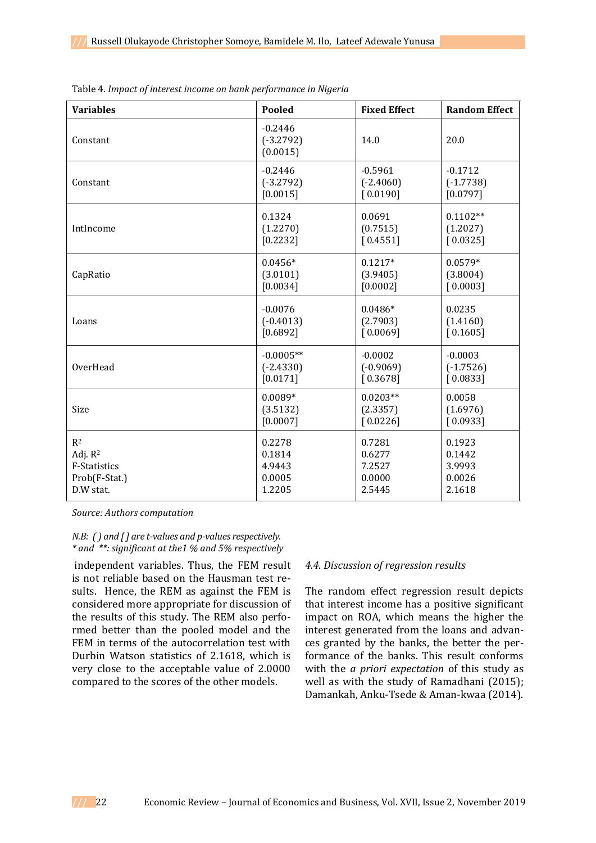| <b>Variables</b>    | Pooled                               | <b>Fixed Effect</b> | <b>Random Effect</b> |
|---------------------|--------------------------------------|---------------------|----------------------|
| Constant            | $-0.2446$<br>$(-3.2792)$<br>(0.0015) | 14.0                | 20.0                 |
| Constant            | $-0.2446$                            | $-0.5961$           | $-0.1712$            |
|                     | $(-3.2792)$                          | $(-2.4060)$         | $(-1.7738)$          |
|                     | [0.0015]                             | [0.0190]            | [0.0797]             |
| IntIncome           | 0.1324                               | 0.0691              | $0.1102**$           |
|                     | (1.2270)                             | (0.7515)            | (1.2027)             |
|                     | [0.2232]                             | [0.4551]            | [0.0325]             |
| CapRatio            | $0.0456*$                            | $0.1217*$           | $0.0579*$            |
|                     | (3.0101)                             | (3.9405)            | (3.8004)             |
|                     | [0.0034]                             | [0.0002]            | [0.0003]             |
| Loans               | $-0.0076$                            | $0.0486*$           | 0.0235               |
|                     | $(-0.4013)$                          | (2.7903)            | (1.4160)             |
|                     | [0.6892]                             | [0.0069]            | [0.1605]             |
| OverHead            | $-0.0005**$                          | $-0.0002$           | $-0.0003$            |
|                     | $(-2.4330)$                          | $(-0.9069)$         | $(-1.7526)$          |
|                     | [0.0171]                             | [0.3678]            | [0.0833]             |
| Size                | $0.0089*$                            | $0.0203**$          | 0.0058               |
|                     | (3.5132)                             | (2.3357)            | (1.6976)             |
|                     | [0.0007]                             | [0.0226]            | [0.0933]             |
| R <sup>2</sup>      | 0.2278                               | 0.7281              | 0.1923               |
| Adj. R <sup>2</sup> | 0.1814                               | 0.6277              | 0.1442               |
| F-Statistics        | 4.9443                               | 7.2527              | 3.9993               |
| Prob(F-Stat.)       | 0.0005                               | 0.0000              | 0.0026               |
| D.W stat.           | 1.2205                               | 2.5445              | 2.1618               |

Table 4. *Impact of interest income on bank performance in Nigeria*

*Source: Authors computation*

#### *N.B: ( ) and [ ] are t-values and p-values respectively. \* and \*\*: significant at the1 % and 5% respectively*

independent variables. Thus, the FEM result is not reliable based on the Hausman test results. Hence, the REM as against the FEM is considered more appropriate for discussion of the results of this study. The REM also performed better than the pooled model and the FEM in terms of the autocorrelation test with Durbin Watson statistics of 2.1618, which is very close to the acceptable value of 2.0000 compared to the scores of the other models.

#### *4.4. Discussion of regression results*

The random effect regression result depicts that interest income has a positive significant impact on ROA, which means the higher the interest generated from the loans and advances granted by the banks, the better the performance of the banks. This result conforms with the *a priori expectation* of this study as well as with the study of Ramadhani (2015); Damankah, Anku-Tsede & Aman-kwaa (2014).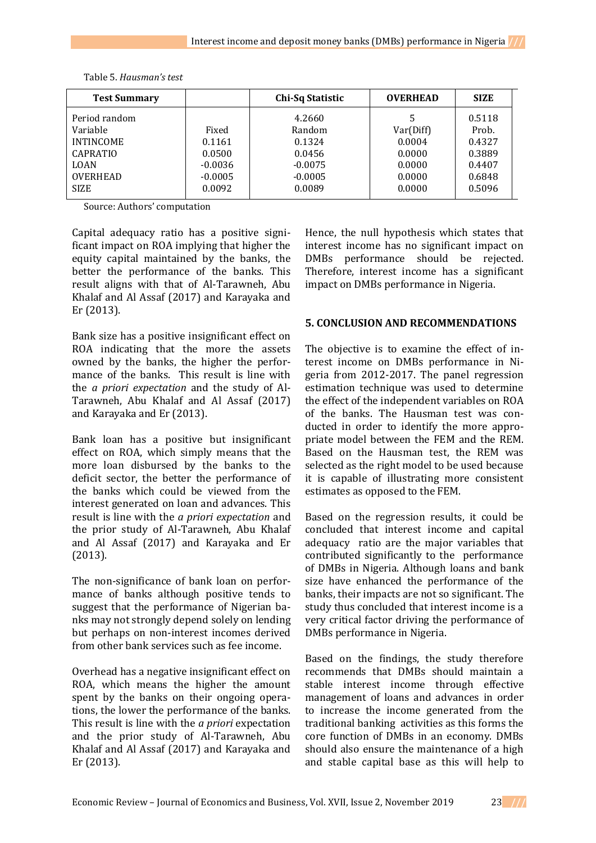| <b>Test Summary</b>                                                                                               |                                                               | Chi-Sq Statistic                                                         | <b>OVERHEAD</b>                                                  | <b>SIZE</b>                                                       |
|-------------------------------------------------------------------------------------------------------------------|---------------------------------------------------------------|--------------------------------------------------------------------------|------------------------------------------------------------------|-------------------------------------------------------------------|
| Period random<br>Variable<br><b>INTINCOME</b><br><b>CAPRATIO</b><br><b>LOAN</b><br><b>OVERHEAD</b><br><b>SIZE</b> | Fixed<br>0.1161<br>0.0500<br>$-0.0036$<br>$-0.0005$<br>0.0092 | 4.2660<br>Random<br>0.1324<br>0.0456<br>$-0.0075$<br>$-0.0005$<br>0.0089 | 5<br>Var(Diff)<br>0.0004<br>0.0000<br>0.0000<br>0.0000<br>0.0000 | 0.5118<br>Prob.<br>0.4327<br>0.3889<br>0.4407<br>0.6848<br>0.5096 |

Table 5. *Hausman's test*

Source: Authors' computation

Capital adequacy ratio has a positive significant impact on ROA implying that higher the equity capital maintained by the banks, the better the performance of the banks. This result aligns with that of Al-Tarawneh, Abu Khalaf and Al Assaf (2017) and Karayaka and Er (2013).

Bank size has a positive insignificant effect on ROA indicating that the more the assets owned by the banks, the higher the performance of the banks. This result is line with the *a priori expectation* and the study of Al-Tarawneh, Abu Khalaf and Al Assaf (2017) and Karayaka and Er (2013).

Bank loan has a positive but insignificant effect on ROA, which simply means that the more loan disbursed by the banks to the deficit sector, the better the performance of the banks which could be viewed from the interest generated on loan and advances. This result is line with the *a priori expectation* and the prior study of Al-Tarawneh, Abu Khalaf and Al Assaf (2017) and Karayaka and Er (2013).

The non-significance of bank loan on performance of banks although positive tends to suggest that the performance of Nigerian banks may not strongly depend solely on lending but perhaps on non-interest incomes derived from other bank services such as fee income.

Overhead has a negative insignificant effect on ROA, which means the higher the amount spent by the banks on their ongoing operations, the lower the performance of the banks. This result is line with the *a priori* expectation and the prior study of Al-Tarawneh, Abu Khalaf and Al Assaf (2017) and Karayaka and Er (2013).

Hence, the null hypothesis which states that interest income has no significant impact on DMBs performance should be rejected. Therefore, interest income has a significant impact on DMBs performance in Nigeria.

# **5. CONCLUSION AND RECOMMENDATIONS**

The objective is to examine the effect of interest income on DMBs performance in Nigeria from 2012-2017. The panel regression estimation technique was used to determine the effect of the independent variables on ROA of the banks. The Hausman test was conducted in order to identify the more appropriate model between the FEM and the REM. Based on the Hausman test, the REM was selected as the right model to be used because it is capable of illustrating more consistent estimates as opposed to the FEM.

Based on the regression results, it could be concluded that interest income and capital adequacy ratio are the major variables that contributed significantly to the performance of DMBs in Nigeria. Although loans and bank size have enhanced the performance of the banks, their impacts are not so significant. The study thus concluded that interest income is a very critical factor driving the performance of DMBs performance in Nigeria.

Based on the findings, the study therefore recommends that DMBs should maintain a stable interest income through effective management of loans and advances in order to increase the income generated from the traditional banking activities as this forms the core function of DMBs in an economy. DMBs should also ensure the maintenance of a high and stable capital base as this will help to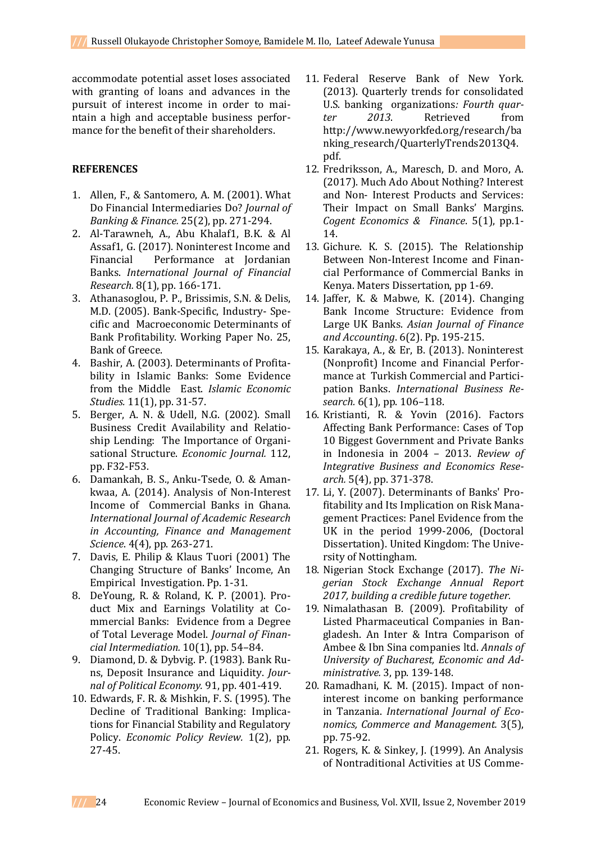accommodate potential asset loses associated with granting of loans and advances in the pursuit of interest income in order to maintain a high and acceptable business performance for the benefit of their shareholders.

# **REFERENCES**

- 1. Allen, F., & Santomero, A. M. (2001). What Do Financial Intermediaries Do? *Journal of Banking & Finance.* 25(2), pp. 271-294.
- 2. Al-Tarawneh, A., Abu Khalaf1, B.K. & Al Assaf1, G. (2017). Noninterest Income and Financial Performance at Jordanian Banks. *International Journal of Financial Research.* 8(1), pp. 166-171.
- 3. Athanasoglou, P. P., Brissimis, S.N. & Delis, M.D. (2005). Bank-Specific, Industry- Specific and Macroeconomic Determinants of Bank Profitability. Working Paper No. 25, Bank of Greece.
- 4. Bashir, A. (2003). Determinants of Profitability in Islamic Banks: Some Evidence from the Middle East. *Islamic Economic Studies.* 11(1), pp. 31-57.
- 5. Berger, A. N. & Udell, N.G. (2002). Small Business Credit Availability and Relatioship Lending: The Importance of Organisational Structure. *Economic Journal.* 112, pp. F32-F53.
- 6. Damankah, B. S., Anku-Tsede, O. & Amankwaa, A. (2014). Analysis of Non-Interest Income of Commercial Banks in Ghana. *International Journal of Academic Research in Accounting, Finance and Management Science*. 4(4), pp. 263-271.
- 7. Davis, E. Philip & Klaus Tuori (2001) The Changing Structure of Banks' Income, An Empirical Investigation. Pp. 1-31.
- 8. DeYoung, R. & Roland, K. P. (2001). Product Mix and Earnings Volatility at Commercial Banks: Evidence from a Degree of Total Leverage Model. *Journal of Financial Intermediation.* 10(1), pp. 54–84.
- 9. Diamond, D. & Dybvig. P. (1983). Bank Runs, Deposit Insurance and Liquidity. *Journal of Political Economy.* 91, pp. 401-419.
- 10. Edwards, F. R. & Mishkin, F. S. (1995). The Decline of Traditional Banking: Implications for Financial Stability and Regulatory Policy. *Economic Policy Review.* 1(2), pp. 27-45.
- 11. Federal Reserve Bank of New York. (2013). Quarterly trends for consolidated U.S. banking organizations*: Fourth quarter 2013*. Retrieved from http://www.newyorkfed.org/research/ba nking\_research/QuarterlyTrends2013Q4. pdf.
- 12. Fredriksson, A., Maresch, D. and Moro, A. (2017). Much Ado About Nothing? Interest and Non- Interest Products and Services: Their Impact on Small Banks' Margins. *Cogent Economics & Finance*. 5(1), pp.1- 14.
- 13. Gichure. K. S. (2015). The Relationship Between Non-Interest Income and Financial Performance of Commercial Banks in Kenya. Maters Dissertation, pp 1-69.
- 14. Jaffer, K. & Mabwe, K. (2014). Changing Bank Income Structure: Evidence from Large UK Banks. *Asian Journal of Finance and Accounting*. 6(2). Pp. 195-215.
- 15. Karakaya, A., & Er, B. (2013). Noninterest (Nonprofit) Income and Financial Performance at Turkish Commercial and Participation Banks. *International Business Research.* 6(1), pp. 106–118.
- 16. Kristianti, R. & Yovin (2016). Factors Affecting Bank Performance: Cases of Top 10 Biggest Government and Private Banks in Indonesia in 2004 – 2013. *Review of Integrative Business and Economics Research.* 5(4), pp. 371-378.
- 17. Li, Y. (2007). Determinants of Banks' Profitability and Its Implication on Risk Management Practices: Panel Evidence from the UK in the period 1999-2006, (Doctoral Dissertation). United Kingdom: The University of Nottingham.
- 18. Nigerian Stock Exchange (2017). *The Nigerian Stock Exchange Annual Report 2017, building a credible future together.*
- 19. Nimalathasan B. (2009). Profitability of Listed Pharmaceutical Companies in Bangladesh. An Inter & Intra Comparison of Ambee & Ibn Sina companies ltd. *Annals of University of Bucharest, Economic and Administrative.* 3, pp. 139-148.
- 20. Ramadhani, K. M. (2015). Impact of noninterest income on banking performance in Tanzania. *International Journal of Economics, Commerce and Management.* 3(5), pp. 75-92.
- 21. Rogers, K. & Sinkey, J. (1999). An Analysis of Nontraditional Activities at US Comme-